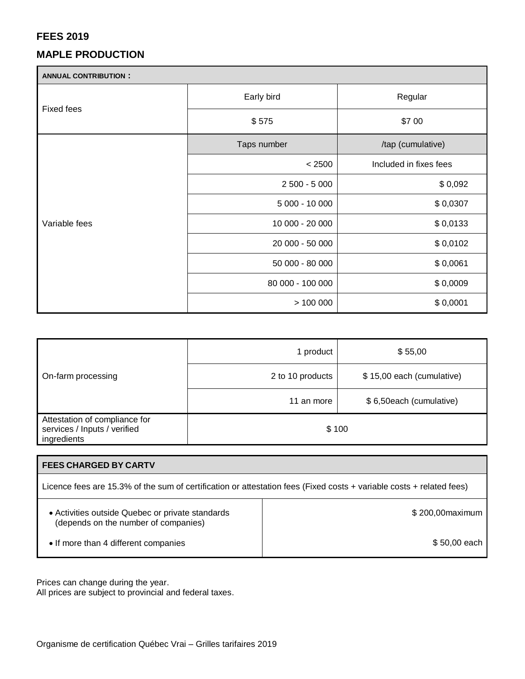### **FEES 2019**

## **MAPLE PRODUCTION**

| <b>ANNUAL CONTRIBUTION:</b> |                  |                        |
|-----------------------------|------------------|------------------------|
| <b>Fixed fees</b>           | Early bird       | Regular                |
|                             | \$575            | \$7 00                 |
|                             | Taps number      | /tap (cumulative)      |
| Variable fees               | < 2500           | Included in fixes fees |
|                             | $2500 - 5000$    | \$0,092                |
|                             | 5 000 - 10 000   | \$0,0307               |
|                             | 10 000 - 20 000  | \$0,0133               |
|                             | 20 000 - 50 000  | \$0,0102               |
|                             | 50 000 - 80 000  | \$0,0061               |
|                             | 80 000 - 100 000 | \$0,0009               |
|                             | > 100000         | \$0,0001               |

| On-farm processing                                                           | product          | \$55,00                   |
|------------------------------------------------------------------------------|------------------|---------------------------|
|                                                                              | 2 to 10 products | \$15,00 each (cumulative) |
|                                                                              | 11 an more       | \$6,50each (cumulative)   |
| Attestation of compliance for<br>services / Inputs / verified<br>ingredients | \$100            |                           |

#### **FEES CHARGED BY CARTV**

Licence fees are 15.3% of the sum of certification or attestation fees (Fixed costs + variable costs + related fees)

| • Activities outside Quebec or private standards<br>(depends on the number of companies) | \$200,00 maximum |
|------------------------------------------------------------------------------------------|------------------|
| • If more than 4 different companies                                                     | \$50,00 each     |

Prices can change during the year.

All prices are subject to provincial and federal taxes.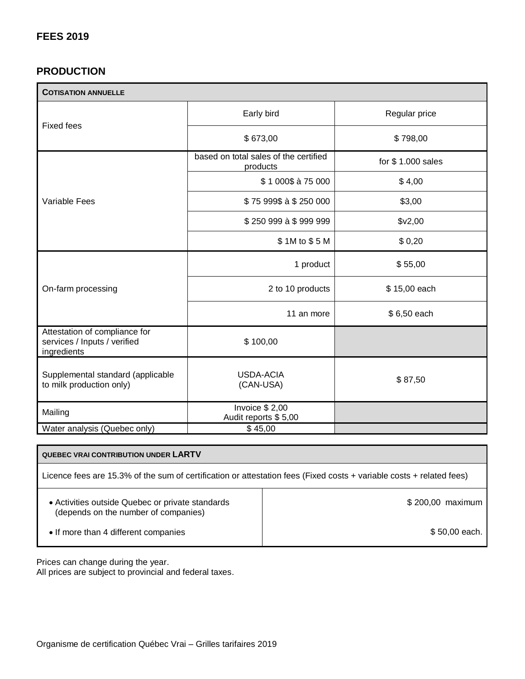## **PRODUCTION**

| <b>COTISATION ANNUELLE</b>                                                   |                                                   |                   |
|------------------------------------------------------------------------------|---------------------------------------------------|-------------------|
| <b>Fixed fees</b>                                                            | Early bird                                        | Regular price     |
|                                                                              | \$673,00                                          | \$798,00          |
|                                                                              | based on total sales of the certified<br>products | for \$1.000 sales |
| Variable Fees                                                                | \$1 000\$ à 75 000                                | \$4,00            |
|                                                                              | \$75 999\$ à \$250 000                            | \$3,00            |
|                                                                              | \$250 999 à \$999 999                             | \$v2,00           |
|                                                                              | \$1M to \$5 M                                     | \$0,20            |
| On-farm processing                                                           | 1 product                                         | \$55,00           |
|                                                                              | 2 to 10 products                                  | \$15,00 each      |
|                                                                              | 11 an more                                        | \$6,50 each       |
| Attestation of compliance for<br>services / Inputs / verified<br>ingredients | \$100,00                                          |                   |
| Supplemental standard (applicable<br>to milk production only)                | <b>USDA-ACIA</b><br>(CAN-USA)                     | \$87,50           |
| Mailing                                                                      | Invoice \$2,00<br>Audit reports \$5,00            |                   |
| Water analysis (Quebec only)                                                 | \$45,00                                           |                   |

| <b>QUEBEC VRAI CONTRIBUTION UNDER LARTV</b>                                                                          |                  |  |
|----------------------------------------------------------------------------------------------------------------------|------------------|--|
| Licence fees are 15.3% of the sum of certification or attestation fees (Fixed costs + variable costs + related fees) |                  |  |
| • Activities outside Quebec or private standards<br>(depends on the number of companies)                             | \$200,00 maximum |  |
| • If more than 4 different companies                                                                                 | \$50,00 each.    |  |

Prices can change during the year.

All prices are subject to provincial and federal taxes.